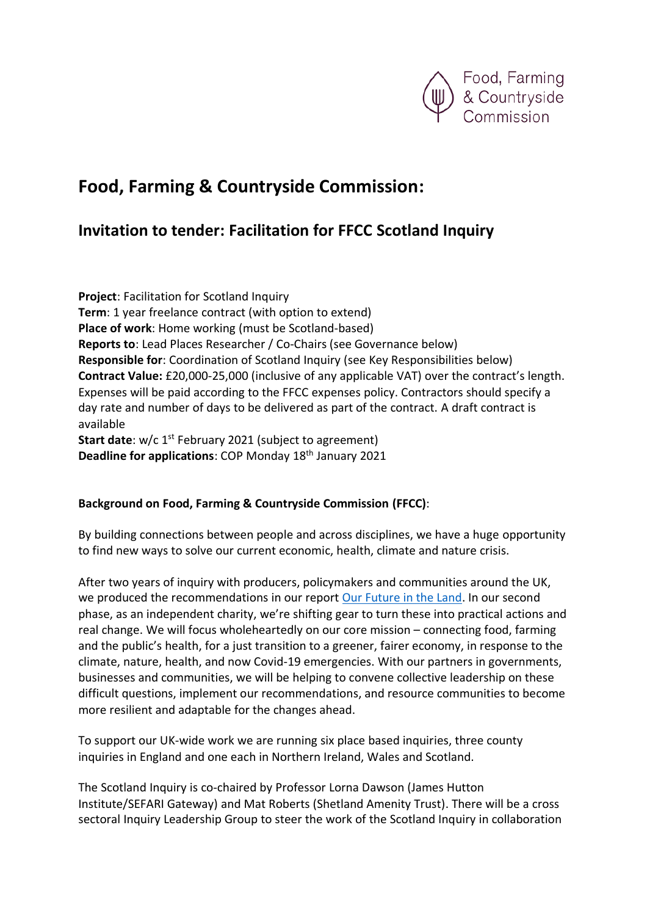

# **Food, Farming & Countryside Commission:**

## **Invitation to tender: Facilitation for FFCC Scotland Inquiry**

**Project**: Facilitation for Scotland Inquiry **Term**: 1 year freelance contract (with option to extend) **Place of work**: Home working (must be Scotland-based) **Reports to**: Lead Places Researcher / Co-Chairs (see Governance below) **Responsible for**: Coordination of Scotland Inquiry (see Key Responsibilities below) **Contract Value:** £20,000-25,000 (inclusive of any applicable VAT) over the contract's length. Expenses will be paid according to the FFCC expenses policy. Contractors should specify a day rate and number of days to be delivered as part of the contract. A draft contract is available **Start date**: w/c 1<sup>st</sup> February 2021 (subject to agreement) **Deadline for applications: COP Monday 18<sup>th</sup> January 2021** 

#### **Background on Food, Farming & Countryside Commission (FFCC)**:

By building connections between people and across disciplines, we have a huge opportunity to find new ways to solve our current economic, health, climate and nature crisis.

After two years of inquiry with producers, policymakers and communities around the UK, we produced the recommendations in our report [Our Future in the Land.](https://ffcc.co.uk/library/our-future-in-the-land) In our second phase, as an independent charity, we're shifting gear to turn these into practical actions and real change. We will focus wholeheartedly on our core mission – connecting food, farming and the public's health, for a just transition to a greener, fairer economy, in response to the climate, nature, health, and now Covid-19 emergencies. With our partners in governments, businesses and communities, we will be helping to convene collective leadership on these difficult questions, implement our recommendations, and resource communities to become more resilient and adaptable for the changes ahead.

To support our UK-wide work we are running six place based inquiries, three county inquiries in England and one each in Northern Ireland, Wales and Scotland.

The Scotland Inquiry is co-chaired by Professor Lorna Dawson (James Hutton Institute/SEFARI Gateway) and Mat Roberts (Shetland Amenity Trust). There will be a cross sectoral Inquiry Leadership Group to steer the work of the Scotland Inquiry in collaboration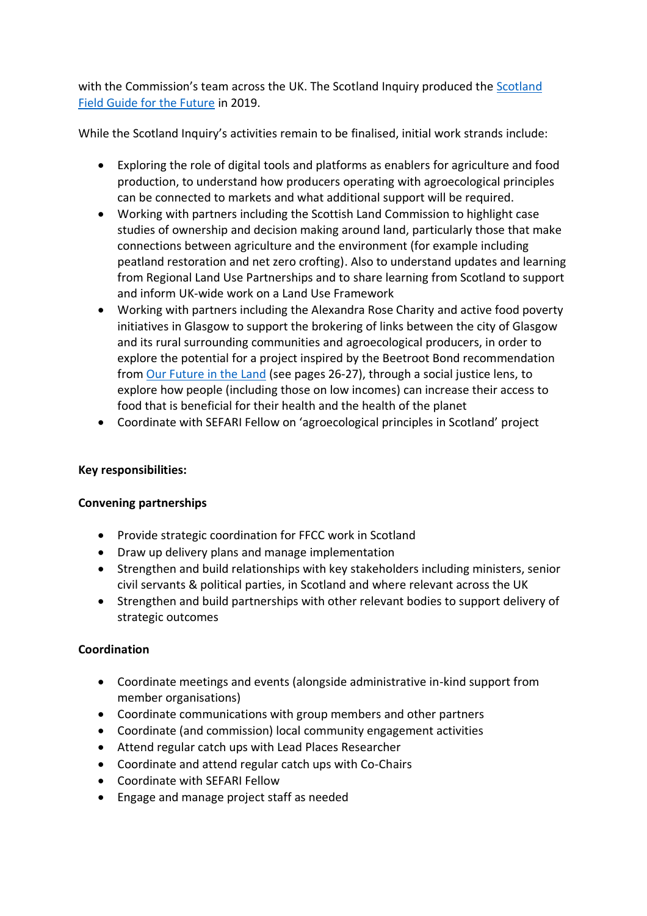with the Commission's team across the UK. The Scotland Inquiry produced the [Scotland](https://ffcc.co.uk/library/scotland-field-guide-for-the-future)  [Field Guide for the Future](https://ffcc.co.uk/library/scotland-field-guide-for-the-future) in 2019.

While the Scotland Inquiry's activities remain to be finalised, initial work strands include:

- Exploring the role of digital tools and platforms as enablers for agriculture and food production, to understand how producers operating with agroecological principles can be connected to markets and what additional support will be required.
- Working with partners including the Scottish Land Commission to highlight case studies of ownership and decision making around land, particularly those that make connections between agriculture and the environment (for example including peatland restoration and net zero crofting). Also to understand updates and learning from Regional Land Use Partnerships and to share learning from Scotland to support and inform UK-wide work on a Land Use Framework
- Working with partners including the Alexandra Rose Charity and active food poverty initiatives in Glasgow to support the brokering of links between the city of Glasgow and its rural surrounding communities and agroecological producers, in order to explore the potential for a project inspired by the Beetroot Bond recommendation from [Our Future in the Land](https://ffcc.co.uk/library/our-future-in-the-land) (see pages 26-27), through a social justice lens, to explore how people (including those on low incomes) can increase their access to food that is beneficial for their health and the health of the planet
- Coordinate with SEFARI Fellow on 'agroecological principles in Scotland' project

#### **Key responsibilities:**

#### **Convening partnerships**

- Provide strategic coordination for FFCC work in Scotland
- Draw up delivery plans and manage implementation
- Strengthen and build relationships with key stakeholders including ministers, senior civil servants & political parties, in Scotland and where relevant across the UK
- Strengthen and build partnerships with other relevant bodies to support delivery of strategic outcomes

#### **Coordination**

- Coordinate meetings and events (alongside administrative in-kind support from member organisations)
- Coordinate communications with group members and other partners
- Coordinate (and commission) local community engagement activities
- Attend regular catch ups with Lead Places Researcher
- Coordinate and attend regular catch ups with Co-Chairs
- Coordinate with SEFARI Fellow
- Engage and manage project staff as needed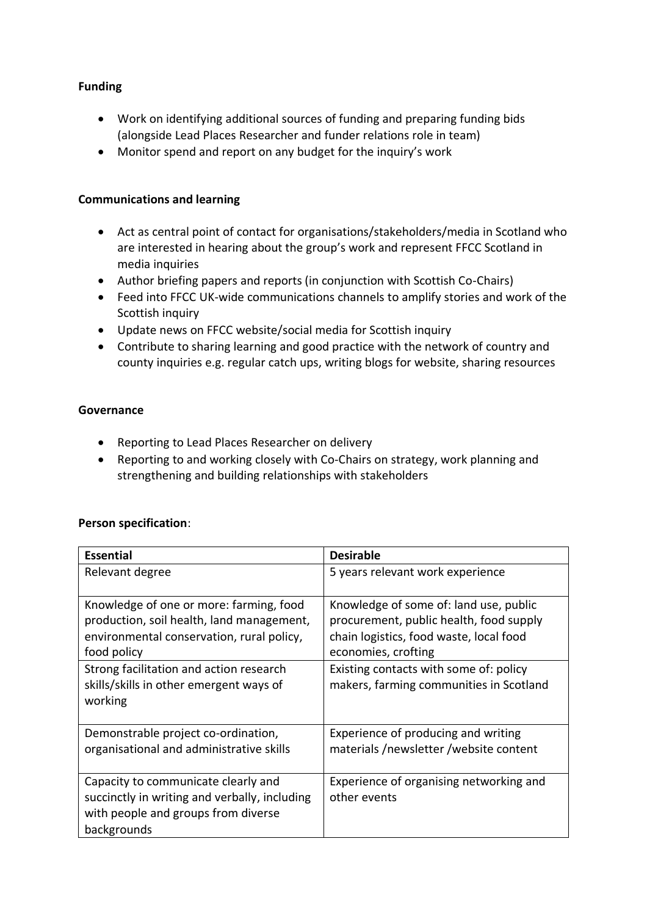#### **Funding**

- Work on identifying additional sources of funding and preparing funding bids (alongside Lead Places Researcher and funder relations role in team)
- Monitor spend and report on any budget for the inquiry's work

#### **Communications and learning**

- Act as central point of contact for organisations/stakeholders/media in Scotland who are interested in hearing about the group's work and represent FFCC Scotland in media inquiries
- Author briefing papers and reports (in conjunction with Scottish Co-Chairs)
- Feed into FFCC UK-wide communications channels to amplify stories and work of the Scottish inquiry
- Update news on FFCC website/social media for Scottish inquiry
- Contribute to sharing learning and good practice with the network of country and county inquiries e.g. regular catch ups, writing blogs for website, sharing resources

#### **Governance**

- Reporting to Lead Places Researcher on delivery
- Reporting to and working closely with Co-Chairs on strategy, work planning and strengthening and building relationships with stakeholders

#### **Person specification**:

| <b>Essential</b>                              | <b>Desirable</b>                        |
|-----------------------------------------------|-----------------------------------------|
| Relevant degree                               | 5 years relevant work experience        |
|                                               |                                         |
| Knowledge of one or more: farming, food       | Knowledge of some of: land use, public  |
| production, soil health, land management,     | procurement, public health, food supply |
| environmental conservation, rural policy,     | chain logistics, food waste, local food |
| food policy                                   | economies, crofting                     |
| Strong facilitation and action research       | Existing contacts with some of: policy  |
| skills/skills in other emergent ways of       | makers, farming communities in Scotland |
| working                                       |                                         |
|                                               |                                         |
| Demonstrable project co-ordination,           | Experience of producing and writing     |
| organisational and administrative skills      | materials/newsletter/website content    |
|                                               |                                         |
| Capacity to communicate clearly and           | Experience of organising networking and |
| succinctly in writing and verbally, including | other events                            |
| with people and groups from diverse           |                                         |
| backgrounds                                   |                                         |